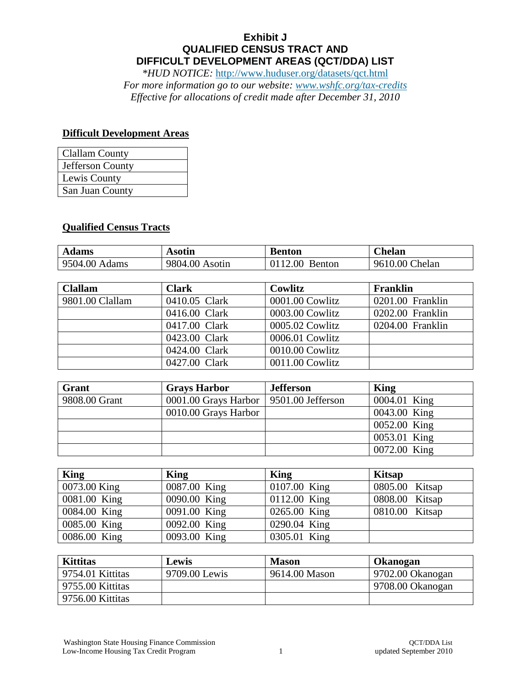## **Exhibit J QUALIFIED CENSUS TRACT AND DIFFICULT DEVELOPMENT AREAS (QCT/DDA) LIST**

*\*HUD NOTICE:* <http://www.huduser.org/datasets/qct.html> *For more information go to our website: [www.wshfc.org/tax-credits](http://www.wshfc.org/tax-credits)*

*Effective for allocations of credit made after December 31, 2010*

## **Difficult Development Areas**

| <b>Clallam County</b> |
|-----------------------|
| Jefferson County      |
| Lewis County          |
| San Juan County       |

## **Qualified Census Tracts**

| <b>Adams</b>  | Asotın         | Benton            | . helan        |
|---------------|----------------|-------------------|----------------|
| 9504.00 Adams | 9804.00 Asotin | 0112.00<br>Benton | 9610.00 Chelan |

| <b>Clallam</b>  | <b>Clark</b>  | Cowlitz         | <b>Franklin</b>  |
|-----------------|---------------|-----------------|------------------|
| 9801.00 Clallam | 0410.05 Clark | 0001.00 Cowlitz | 0201.00 Franklin |
|                 | 0416.00 Clark | 0003.00 Cowlitz | 0202.00 Franklin |
|                 | 0417.00 Clark | 0005.02 Cowlitz | 0204.00 Franklin |
|                 | 0423.00 Clark | 0006.01 Cowlitz |                  |
|                 | 0424.00 Clark | 0010.00 Cowlitz |                  |
|                 | 0427.00 Clark | 0011.00 Cowlitz |                  |

| Grant         | <b>Grays Harbor</b>                        | <b>Jefferson</b> | King         |
|---------------|--------------------------------------------|------------------|--------------|
| 9808.00 Grant | 0001.00 Grays Harbor   $9501.00$ Jefferson |                  | 0004.01 King |
|               | 0010.00 Grays Harbor                       |                  | 0043.00 King |
|               |                                            |                  | 0052.00 King |
|               |                                            |                  | 0053.01 King |
|               |                                            |                  | 0072.00 King |

| King         | <b>King</b>  | King           | <b>Kitsap</b>  |
|--------------|--------------|----------------|----------------|
| 0073.00 King | 0087.00 King | 0107.00 King   | 0805.00 Kitsap |
| 0081.00 King | 0090.00 King | $0112.00$ King | 0808.00 Kitsap |
| 0084.00 King | 0091.00 King | 0265.00 King   | 0810.00 Kitsap |
| 0085.00 King | 0092.00 King | 0290.04 King   |                |
| 0086.00 King | 0093.00 King | 0305.01 King   |                |

| <b>Kittitas</b>  | Lewis         | <b>Mason</b>  | Okanogan          |
|------------------|---------------|---------------|-------------------|
| 9754.01 Kittitas | 9709.00 Lewis | 9614.00 Mason | 9702.00 Okanogan  |
| 9755.00 Kittitas |               |               | 19708.00 Okanogan |
| 9756.00 Kittitas |               |               |                   |